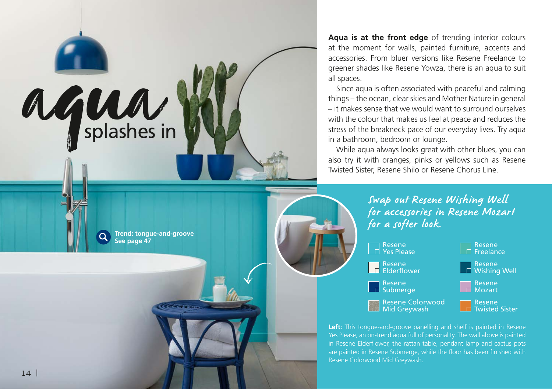

**Trend: tongue-and-groove** 

**See page 47**

**Aqua is at the front edge** of trending interior colours at the moment for walls, painted furniture, accents and accessories. From bluer versions like Resene Freelance to greener shades like Resene Yowza, there is an aqua to suit all spaces.

Since aqua is often associated with peaceful and calming things – the ocean, clear skies and Mother Nature in general – it makes sense that we would want to surround ourselves with the colour that makes us feel at peace and reduces the stress of the breakneck pace of our everyday lives. Try aqua in a bathroom, bedroom or lounge.

While aqua always looks great with other blues, you can also try it with oranges, pinks or yellows such as Resene Twisted Sister, Resene Shilo or Resene Chorus Line.

> Swap out Resene Wishing Well for accessories in Resene Mozart for a softer look.



Left: This tongue-and-groove panelling and shelf is painted in Resene Yes Please, an on-trend aqua full of personality. The wall above is painted in Resene Elderflower, the rattan table, pendant lamp and cactus pots are painted in Resene Submerge, while the floor has been finished with Resene Colorwood Mid Greywash.